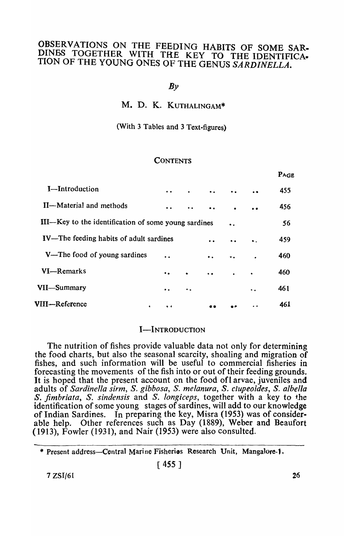# OBSERVATIONS ON THE FEEDING HABITS OF SOME SAR-DINES TOGETHER WITH THE KEY TO THE IDENTIFICA. TION OF THE 'YOUNG ONES OF THE GENUS *SARDINELLA.*

### $Bv$

# M. D. K. KUTHALINGAM\*

# (With 3 Tables and 3 Text-figures)

# **CONTENTS**

|                                                      |                     |                      |                      |           |             | PAGE |
|------------------------------------------------------|---------------------|----------------------|----------------------|-----------|-------------|------|
| I-Introduction                                       | $\bullet\bullet$    | $\bullet$            | $\ddot{\phantom{a}}$ |           |             | 455  |
| II-Material and methods                              |                     | $\bullet$            |                      |           | $\bullet$   | 456  |
| III—Key to the identification of some young sardines |                     |                      |                      |           |             | 56   |
| IV—The feeding habits of adult sardines              |                     |                      |                      |           | $\bullet$ . | 459  |
| V—The food of young sardines                         |                     |                      | $\bullet$ .          |           | ٠           | 460  |
| VI-Remarks                                           | $\bullet$           |                      |                      | $\bullet$ | $\bullet$   | 460  |
| VII—Summary                                          | $\bullet$ $\bullet$ | $\ddot{\phantom{a}}$ |                      |           | ٠.          | 461  |
| VIII—Reference<br>٠                                  | $\bullet$ $\bullet$ |                      |                      |           |             | 461  |

### I-INTRODUCTION

The nutrition of fishes provide valuable data not only for determining the food charts, but also the seasonal scarcity, shoaling and migration of fishes, and such information will be useful to commercial fisheries in forecasting the movements of the fish into or out of their feeding grounds. It is hoped that the present account on the food ofl arvae, juveniles and adults of *Sardinella sirm,* S. *gibbosa,* S. *melanura, S. clupeoides,* S. *albella*  S. *fimbriata*, S. *sindensis* and S. *longiceps*, together with a key to the identification of some young stages of sardines, will add to our knowledge of Indian Sardines. In preparing the key, Misra (1953) was of considerable help. Other references such as Day (1889), Weber and Beaufort (1913), Fowler (1931), and Nair (1953) were also consulted.

<sup>\*</sup> Present address-Central Marine Fisherios Research Unit, Mangalore-1.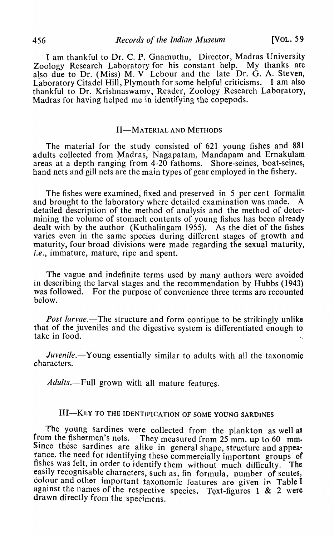I am thankful to Dr. C. P. Gnamuthu, Director, Madras University Zoology Research Laboratory for his constant help. My thanks are also due to Dr. (Miss) M. V Lebour and the late Dr. G. A. Steven, Laboratory Citadel Hill, Plymouth for some helpful criticisms. I am also thankful to Dr. Krishnaswamy, Reader, Zoology Research Laboratory, Madras for having helped me in identifying the copepods.

# II-MATERIAL AND METHODS

The material for the study consisted of 621 young fishes and 881 adults collected from Madras, Nagapatam, Mandapam and Ernakulam areas at a depth ranging from 4-20 fathoms. Shore-seines, boat-seines, hand nets and gill nets are the main types of gear employed in the fishery.

The fishes were examined, fixed and preserved in 5 per cent formalin and brought to the laboratory where detailed examination was made. detailed description of the method of analysis and the method of determining the volume of stomach contents of young fishes has been already dealt with by the author (Kuthalingam 1955). As the diet of the fishes varies even in the same species during different stages of growth and maturity, four broad divisions were made regarding the sexual maturity, *i.e.,* immature, mature, ripe and spent.

The vague and indefinite terms used by many authors were avoided in describing the larval stages and the recommendation by Hubbs (1943) was followed. For the purpose of convenience three terms are recounted below.

*Post larvae.*—The structure and form continue to be strikingly unlike that of the juveniles and the digestive system is differentiated enough to take in food.

*Juvenile.*-Young essentially similar to adults with all the taxonomic characters.

*Adults.-Full* grown with all mature features.

# III-KEY TO THE IDENTIFICATION OF SOME YOUNG SARDINES

The young sardines were collected from the plankton as well as from the fishermen's nets. They measured from  $25$  mm. up to 60 mm. Since these sardines are alike in general shape, structure and appearance. the need for identifying these commercially important groups of fishes was felt, in order to identify them without much difficulty. The easily recognisable characters, such as, fin formula, number of scutes, colour and other important taxonomic features are given in Table I against the names of the respective species. Text-figures 1 & 2 were drawn directly from the specimens.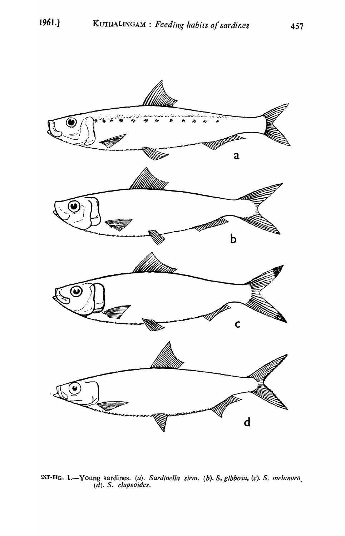

DCT-FIO. I.-Young sardines. (0). *Sardinella sirm.* (b). S. *glbbosa. (c). S. Inelanura.*  (d). *S. c/upeoides.*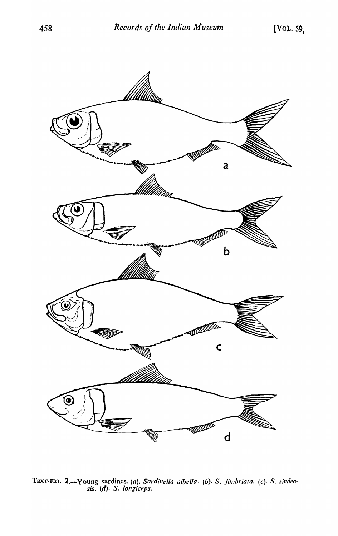

TBXT-FIG. 2.-Young sardines. (a). Sardinella albella. (b). S. *fimbriata.* (c). S. sinden*sis. (d).* S. *longiceps.*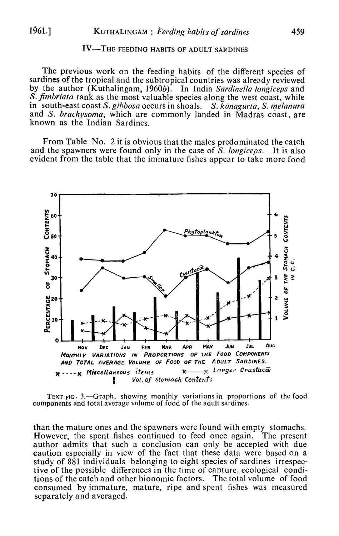# **IV-THE FEEDING HABITS OF ADULT SARDINES**

The previous work on the feeding habits of the different species of sardines of the tropical and the subtropical countries was already reviewed by the author (Kuthalingam, 1960b). In India Sardinella longiceps and S. fimbriata rank as the most valuable species along the west coast, while in south-east coast S. gibbosa occurs in shoals. S. kanagurta, S. melanura and S. brachysoma, which are commonly landed in Madras coast, are known as the Indian Sardines.

From Table No. 2 it is obvious that the males predominated the catch and the spawners were found only in the case of S. longiceps. It is also evident from the table that the immature fishes appear to take more food



TEXT-FIG. 3.—Graph, showing monthly variations in proportions of the food components and total average volume of food of the adult sardines.

than the mature ones and the spawners were found with empty stomachs. However, the spent fishes continued to feed once again. The present author admits that such a conclusion can only be accepted with due caution especially in view of the fact that these data were based on a study of 881 individuals belonging to eight species of sardines irrespective of the possible differences in the time of capture, ecological conditions of the catch and other bionomic factors. The total volume of food consumed by immature, mature, ripe and spent fishes was measured separately and averaged.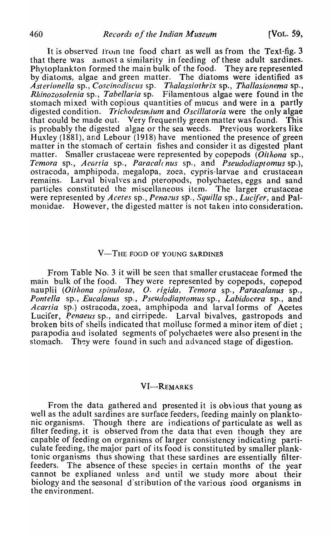It is observed from the food chart as well as from the Text-fig. 3 that there was aunost a similarity in feeding of these adult sardines. Phytoplankton formed the main bulk of the food. They are represented by diatoms, algae and green matter. The diatoms were identified as *Asterionella* sp., *Coscinodiscus* sp, *Thalassiothrix* sp., *Thallasionema* sp., *Rhinozosolenia* sp., *Tabellaria* sp. Filamentous algae were found in the stomach mixed with copious quantities of mucus and were in a partly digested condition. *Trichodesmium* and *Oscil/atoria* were the only algae that could be made out. Very frequently green matter was found. 'fhis is probably the digested algae or the sea weeds. Previous workers like Huxley (1881), and Lebour (1918) have mentioned the presence of green matter in the stomach of certain fishes and consider it as digested plant matter. Smaller crustaceae were represented by copepods *(Oithona* sp., *Temora* sp., *Acartia* sp., *Paraca/( nus* sp., and *Pseudodiaptomus* sp.), ostracoda, amphipoda, megalopa, zoea, cypris-larvae and crustacean remains. Larval bivalves and pteropods, polychaetes, eggs and sand particles constituted the miscellaneous item. The larger crustaceae were represented by *Acetes* sp., *Pena2US* sp., *Squil/a* sp., *Lucifer,* and Palmonidae. However, the digested matter is not taken into consideration.

# V-THE FOOD OF YOUNG SARDINES

From Table No. 3 it will be seen that smaller crustaceae formed the main bulk of the food. They were represented by coperods, coperod They were represented by copepods, copepod nauplii *(Oithona spinulosa,* O. *rigida, Temora* sp., *Paracalanus* sp., *Pontel/a* sp., *Eucalanus* sp., *Pseudodiaptomus* sp., *Labidocera* sp., and *Acarfia* sp.) ostracoda, zoea, amphipoda and larval forms of Acetes Lucifer, *Penaeus* sp., and cirripede. Larval bivalves, gastropods and broken bits of shells indicated that mollusc formed a minor item of diet; parapodia and isolated segments of polychaetes were also present in the stomach. They were found in such and advanced stage of digestion.

# VI-REMARKS

From the data gathered and presented it is obvious that young as well as the adult sardines are surface feeders, feeding mainly on planktonic organisms. Though there are indications of particulate as well as filter feeding, it is observed from the data that even though they are capable of feeding on organisms of larger consistency indicating particulate feeding, the major part of its food is constituted by smaller planktonic organisms thus showing that these sardines are essentially filterfeeders. The absence of these species in certain months of the year cannot be explianed unless and until we study more about their biology and the seasonal d'stribution of the various rood organisms in the environment.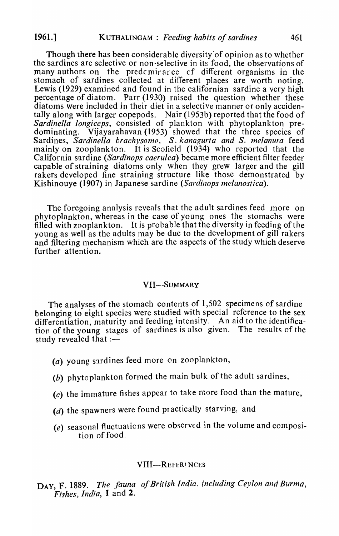Though there has been considerable diversity 'of opinion as to whether the sardines are selective or non·-selective in its food, the observations of many authors on the predcmirarce cf different organisms in the stomach of sardines collected at different places are worth noting. Lewis (1929) examined and found in the californian sardine a very high percentage of diatom. Parr (1930) raised the question whether these diatoms were included in their diet in a selective manner or only accidentally along with larger copepods. Nair (1953b) reported that the food of *Sardinella longiceps,* consisted of plankton with phytoplankton predominating. Vijayarahavan (1953) showed that the three species of Sardines, Sardinella brachysomo, S. kanagurta and S. melanura feed mainly on zooplankton. It is Scofield (1934) who reported that the California sardine *(Sardinops caerulea)* became more efficient filter feeder capable of straining diatoms only when they grew larger and the gill rakers developed fine straining structure like those demonstrated by Kishinouye (1907) in Japanese sardine *(Sardinops melanostica)*.

The foregoing analysis reveals that the adult sardines feed more on phytoplankton, whereas in the case of young ones the stomachs were filled with zooplankton. It is probable that the diversity in feeding of the young as well as the adults may be due to the development of gill rakers and filtering mechanism which are the aspects of the study which deserve further attention.

#### VII-SUMMARY

The analyses of the stomach contents of 1,502 specimens of sardine belonging to eight species were studied with special reference to the sex differentiation, maturity and feeding intensity. An aid to the identification of the young stages of sardines is also given. The results of the study revealed that  $:=$ 

- (a) young sardines feed more on zooplankton,
- (b) phytoplankton formed the main bulk of the adult sardines,
- (c) the immature fishes appear to take more food than the mature,
- (d) the spawners were found practically starving, and
- (e) seasonal fluctuations were observed in the volume and composition of food,

#### VIII-REFERINCES

DAY, F. 1889. *The fauna of British India. including Ceylon and Burma*, *Fishes, India,* 1. and 2.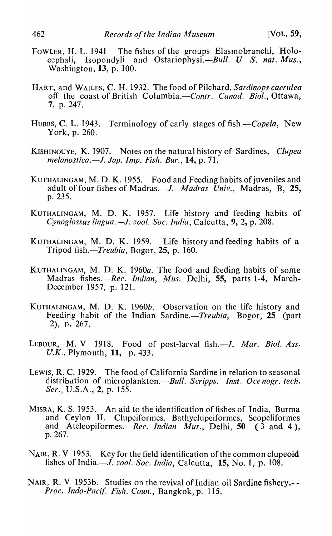- FOWLER, H. L. 1941 The fishes of the groups Elasmobranchi, Holo-<br>cephali. Isopondyli and Ostariophysi.—Bull. U S. nat. Mus. cephali, Isopondyli and Ostariophysi.-Bull. U S. *nat. Mus.,*  Washington, 13, p. 100.
- HART, and WAILES, C. H.1932. The food of Pilchard, *Sardinops caerulea*  off the coast of British Columbia.—Contr. Canad. Biol., Ottawa, 7, p. 247.
- HUBBS, C. L. 1943. Terminology of early stages of fish.—*Copeia*, New York, p. 260.
- KISHINOUYE, K. 1907. Notes on the natural history of Sardines, *Clupea Inelanostica.-J. Jap. Imp. Fish. Bur.,* 14, p. 71.
- KUTHALINGAM, M. D. K. 1955. Food and Feeding habits of juveniles and adult of four fishes of Madras.—J. *Madras Univ.*, Madras, B, 25, p.235.
- KUTHALINGAM, M. D. K. 1957. Life history and feeding habits of *Cynoglossus lingua.* -J. *zool. Soc. India,* Calcutta, 9, 2, p. 208.
- KUTHALINGAM, M. D. K. 1959. Life history and feeding habits of a Tripod fish.—*Treubia*, Bogor, 25, p. 160.
- KUTHALINGAM, M. D. K. 1960 $a$ . The food and feeding habits of some Madras fishes.—*Rec. Indian, Mus. Delhi,* 55, parts 1-4, March-December 1957, p. 121.
- KUTHALINGAM, M. D. K. 1960b. Observation on the life history and Feeding habit of the Indian Sardine.-Treubia, Bogor, 25 (part 2), p. 267.
- LEBOUR, M. V 1918. Food of post-larval fish.—*J. Mar. Biol. Ass.* U.K., Plymouth, 11, p. 433.
- LEWIS, R. C. 1929. The food of California Sardine in relation to seasonal distribution of microplankton.—*Bull. Scripps. Inst. Oce nogr. tech. Ser.,* U.S.A., 2, p. 155.
- MISRA, K. S. 1953. An aid to the identification of fishes of India, Burma and Ceylon II. Clupeiformes, Bathyclupeiformes, Scopeliformes and Ateleopiformes.—Rec. *Indian Mus.*, Delhi, 50 (3 and 4), p.267.
- NAIR, R. V 1953. Key for the field identification of the common clupeoid fishes of India.-J. *zoo!. Soc. India,* Calcutta, 15, No.1, p. 108.
- NAIR, R. V 1953b. Studies on the revival of Indian oil Sardine fishery. Proc. Indo-Pacif. Fish. Coun., Bangkok, p. 115.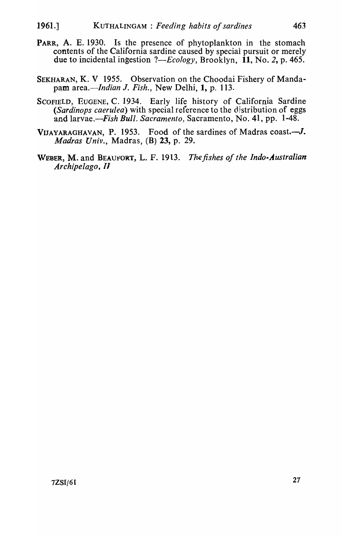- PARR, A. E. 1930. Is the presence of phytoplankton in the stomach contents of the California sardine caused by speciai pursuit or merely due to incidental ingestion *?—Ecology*, Brooklyn, 11, No. 2, p. 465.
- SEKHARAN, K. V 1955. Observation on the Choodai Fishery of Mandapam area.—*Indian J. Fish.*, New Delhi, 1, p. 113.
- SCOFIELD, EUGENE, C. 1934. Early life history of California Sardine-*(Sardinops caerulea)* with special reference to the distribution of eggs and larvae.-*Fish Bull. Sacramento*, Sacramento, No. 41, pp. 1-48.
- VIJAYARAGHAVAN, P. 1953. Food of the sardines of Madras coast.--- J. *Madras Univ.,* Madras, (B) 23, p. 29.
- WEBER, M. and BEAUFORT, L. F. 1913. *The fishes of the Indo-Australian Archipelago. 11"*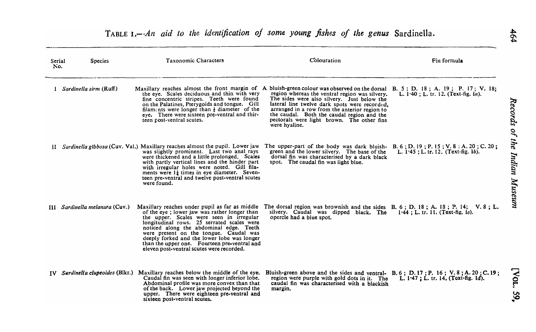| Serial<br>No. | <b>Species</b>                | <b>Taxonomic Characters</b>                                                                                                                                                                                                                                                                                                                                                                                               | Colouration                                                                                                                                                                                                                                                                                                                                                                                      | Fin formula                            |
|---------------|-------------------------------|---------------------------------------------------------------------------------------------------------------------------------------------------------------------------------------------------------------------------------------------------------------------------------------------------------------------------------------------------------------------------------------------------------------------------|--------------------------------------------------------------------------------------------------------------------------------------------------------------------------------------------------------------------------------------------------------------------------------------------------------------------------------------------------------------------------------------------------|----------------------------------------|
|               | I Sardinella sirm (Ruff)      | Maxillary reaches almost the front margin of A<br>the eye. Scales deciduous and thin with very<br>fine concentric stripes. Teeth were found<br>on the Palatines, Pterygoids and tongue. Gill<br>filaments were longer than $\frac{1}{2}$ diameter of the<br>eye. There were sixteen pre-ventral and thir-<br>teen post-ventral scutes.                                                                                    | bluish-green colour was observed on the dorsal B. 5; D. 18; A. 19; P. 17; V. 18;<br>region whereas the ventral region was silvery.<br>The sides were also silvery. Just below the<br>lateral line twelve dark spots were recorded.<br>arranged in a row from the anterior region to<br>the caudal. Both the caudal region and the<br>pectorals were light brown. The other fins<br>were hyaline. | L. 1.40; L. tr. 12. (Text-fig. 1a).    |
|               |                               | II Sardinella gibbosa (Cuv. Val.) Maxillary reaches almost the pupil. Lower jaw<br>was slightly prominent. Last two anal rays<br>were thickened and a little prolonged. Scales<br>with partly vertical lines and the hinder part<br>with irregular holes were noted. Gill fila-<br>ments were $1\frac{1}{4}$ times in eye diameter. Seven-<br>teen pre-ventral and twelve post-ventral scutes<br>were found.              | The upper-part of the body was dark bluish-B. 6; D. 19; P. 15; V. 8; A. 20; C. 20;<br>green and the lower silvery. The base of the<br>dorsal fin was characterised by a dark black<br>spot. The caudal fin was light blue.                                                                                                                                                                       | L. $1.45$ ; L. tr. 12. (Text-fig. 1b). |
| Ш             | Sardinella melanura (Cuv.)    | Maxillary reaches under pupil as far as middle<br>of the eye; lower jaw was rather longer than<br>the upper. Scales were seen in irregular<br>longitudinal rows. 25 serrated scales were<br>noticed along the abdominal edge. Teeth<br>were present on the tongue. Caudal was<br>deeply forked and the lower lobe was longer<br>than the upper one. Fourteen pre-ventral and<br>eleven post-ventral scutes were recorded. | The dorsal region was brownish and the sides B. 6; D. 18; A. 18; P. 14; V. 8; L.<br>silvery. Caudal was dipped black. The 1.44; L. tr. 11. (Text-fig. lc).<br>opercle had a blue spot.                                                                                                                                                                                                           |                                        |
| IV            | Sardinella clupeoides (Blkr.) | Maxillary reaches below the middle of the eye.<br>Caudal fin was seen with longer inferior lobe.<br>Abdominal profile was more convex than that<br>of the back. Lower jaw projected beyond the<br>upper. There were eighteen pre-ventral and<br>sixteen post-ventral scutes.                                                                                                                                              | Bluish-green above and the sides and ventral- B. 6; D. 17; P. 16; V. 8; A. 20; C. 19;<br>region were purple with gold dots in it. The<br>caudal fin was characterised with a blackish<br>margin.                                                                                                                                                                                                 | L. $1.47$ ; L. tr. 14. (Text-fig. 1d). |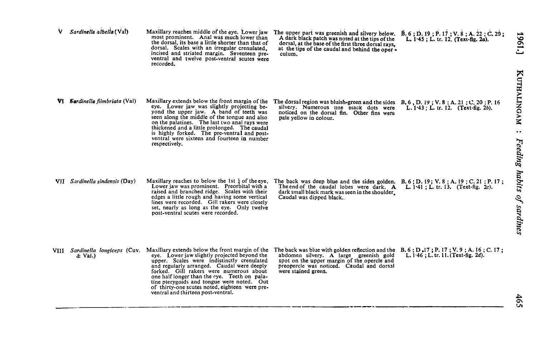| v    | Sardinella albella (Val)           | Maxillary reaches middle of the eye. Lower jaw<br>most prominent. Anal was much lower than<br>the dorsal, its base a little shorter than that of<br>dorsal. Scales with an irregular crenulated,<br>incised and striated margin. Seventeen pre-<br>ventral and twelve post-ventral scutes were<br>recorded.                                                                                                                                             | The upper part was greenish and silvery below.<br>A dark black patch was noted at the tips of the<br>dorsal, at the base of the first three dorsal rays,<br>at the tips of the caudal and behind the oper -<br>culum.                             | $\hat{B}$ . 6; D. 19; P. 17; V. 8; A. 22; C. 20;<br>L. 1.45; L. tr. 12. (Text-fig. 2a).  |
|------|------------------------------------|---------------------------------------------------------------------------------------------------------------------------------------------------------------------------------------------------------------------------------------------------------------------------------------------------------------------------------------------------------------------------------------------------------------------------------------------------------|---------------------------------------------------------------------------------------------------------------------------------------------------------------------------------------------------------------------------------------------------|------------------------------------------------------------------------------------------|
| VI   | <b>Sardinella fiimbriata (Val)</b> | Maxillary extends below the front margin of the<br>eye. Lower jaw was slightly projecting be-<br>yond the upper jaw. A band of teeth was<br>seen along the middle of the tongue and also<br>on the palatines. The last two anal rays were<br>thickened and a little prolonged. The caudal<br>is highly forked. The pre-ventral and post-<br>ventral were sixteen and fourteen in number<br>respectively.                                                | The dorsal region was bluish-green and the sides<br>silvery. Numerous une black dots were<br>noticed on the dorsal fin. Other fins were<br>pale yellow in colour.                                                                                 | <b>B</b> , 6, D, 19; V, 8; A, 21; C, 20; P, 16<br>L. $1.43$ ; L. tr. 12. (Text-fig. 2b). |
| VII. | Sardinella sindensis (Day)         | Maxillary reaches to below the 1st $\frac{1}{4}$ of the eye.<br>Lower jaw was prominent. Preorbital with a<br>raised and branched ridge. Scales with their<br>edges a little rough and having some vertical<br>lines were recorded. Gill rakers were closely<br>set, nearly as long as the eye. Only twelve<br>post-ventral scutes were recorded.                                                                                                       | The back was deep blue and the sides golden. B. $6$ ; D. 19; V. 8; A. 19; C. 21; P. 17;<br>The end of the caudal lobes were dark. A<br>dark small black mark was seen in the shoulder.<br>Caudal was dipped black                                 | L. 1.41; L. tr. 13. (Text-fig. $2c$ ).                                                   |
| VIII | $&$ Val.)                          | Sardinella longiceps (Cuv. Maxillary extends below the front margin of the<br>eye. Lower jaw slightly projected beyond the<br>upper. Scales were indistinctly crenulated<br>and regularly arranged. Caudal were deeply<br>forked. Gill rakers were numerous about<br>one half longer than the eye. Teeth on pala-<br>tine pterygoids and tongue were noted. Out<br>of thirty-one scutes noted, eighteen were pre-<br>ventral and thirteen post-ventral. | The back was blue with golden reflection and the $B.6; D.17; P.17; V.9; A.16; C.17;$<br>abdomen silvery. A large greenish gold<br>spot on the upper margin of the opercle and<br>preopercle was noticed. Caudal and dorsal<br>were stained green. | L. 1.46; L. tr. 11. (Text-fig. 2d).                                                      |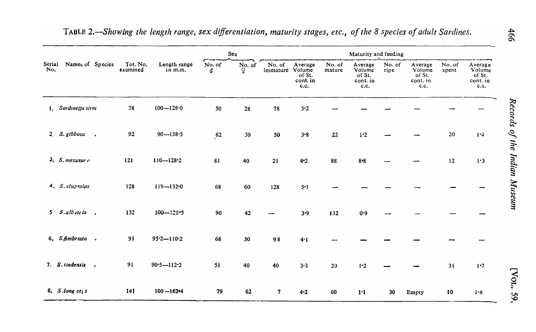|                |                                 |        |                      |                         |             | Sex                     |                           |                                       |                  | Maturity and feeding                            |                |                                                 |                 |                                                 |
|----------------|---------------------------------|--------|----------------------|-------------------------|-------------|-------------------------|---------------------------|---------------------------------------|------------------|-------------------------------------------------|----------------|-------------------------------------------------|-----------------|-------------------------------------------------|
| Serial<br>No.  | Names of Species                |        | Tot. No.<br>examined | Length range<br>in m.m. | No. of<br>δ | No. of<br>$\mathcal{L}$ | No. of<br>immature Volume | Average<br>of St.<br>cont. in<br>c.c. | No. of<br>mature | Average<br>Volume<br>of St.<br>cont. in<br>c.c. | No. of<br>ripe | Average<br>Volume<br>of St.<br>cont. in<br>c.c. | No. of<br>spent | Average<br>Volume<br>of St.<br>cont. in<br>c.c. |
|                | 1. Sardinella sirm              |        | 78                   | $100 - 1280$            | 50          | 28                      | 78                        | 3.2                                   |                  |                                                 |                |                                                 |                 |                                                 |
| $2^{\circ}$    | S. gibbosa .                    |        | 92                   | $90 - 138.5$            | $62$        | 30                      | 50                        | $3 - 8$                               | 22               | $1.2$                                           |                |                                                 | 20              | 1.4                                             |
|                | $3. S.$ meranur $c$             |        | 121                  | $110 - 128.2$           | 81          | 40                      | 21                        | $4 - 2$                               | 88               | $8 - 8$                                         |                |                                                 | 12              | 1.3                                             |
|                | 4. S. clup roias                |        | 128                  | $119 - 1320$            | 68          | 60                      | 128                       | $5 - 1$                               |                  |                                                 |                |                                                 |                 |                                                 |
| 5 <sub>1</sub> | $S.$ albetela.                  |        | 132                  | $100 - 122 - 5$         | 90          | 42                      |                           | 3.9                                   | 132              | 0.9                                             |                |                                                 |                 |                                                 |
|                | 6. S.fimbriata                  | $\sim$ | 91                   | $95.2 - 110.2$          | 68          | 30                      | 98                        | 4.1                                   |                  |                                                 |                |                                                 |                 |                                                 |
|                | 7. S. sindensis.                |        | 91                   | $90.5 - 112.2$          | 51          | 40                      | 40                        | 3.3                                   | 20               | 1.2                                             |                |                                                 | 31              | 1.7                                             |
|                | 8. $S$ . long ce <sub>l</sub> s |        | 141                  | $100 - 16244$           | 79          | 62                      | $\overline{\mathbf{z}}$   | $4 - 2$                               | 60               | 1:1                                             | 30             | Empty                                           | 10              | 1.8                                             |

|  |  |  |  |  |  | TABLE 2.—Showing the length range, sex differentiation, maturity stages, etc., of the 8 species of adult Sardines. |
|--|--|--|--|--|--|--------------------------------------------------------------------------------------------------------------------|
|--|--|--|--|--|--|--------------------------------------------------------------------------------------------------------------------|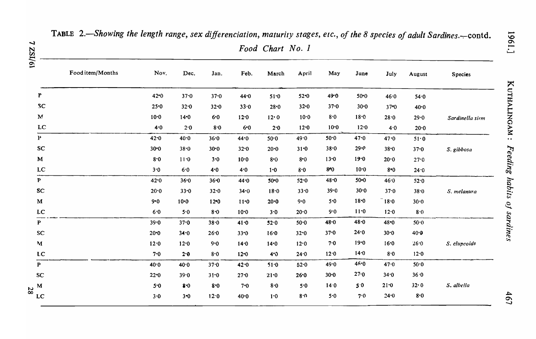| $\overline{\phantom{a}}$<br><b>ZSI/61</b> |                  |          |          |          |          | Food Chart No. 1 |          |                  |          |          |          |                 |
|-------------------------------------------|------------------|----------|----------|----------|----------|------------------|----------|------------------|----------|----------|----------|-----------------|
|                                           | Food item/Months | Nov.     | Dec.     | Jan.     | Feb.     | March            | April    | May              | June     | July     | August   | Species         |
| $\mathbf{r}$                              |                  | 42.0     | 37.0     | 37.0     | 44.0     | 51.0             | 52.0     | $49-0$           | $50 - 0$ | 46.0     | 54.0     |                 |
| SC                                        |                  | 25.0     | 32.0     | 32.0     | 33.0     | $28 - 0$         | 32.0     | 37.0             | $30 - 0$ | $37 - 0$ | 40.0     |                 |
| $\mathbf M$                               |                  | $10 - 0$ | $14 - 0$ | 6.0      | 12.0     | 12.0             | 10.0     | 8.0              | 18.0     | 28.0     | 29.0     | Sardinella sirm |
| LC                                        |                  | 4.0      | $2.0$    | 8.0      | 6.0      | 2.0              | 12.0     | $10-0$           | 12.0     | 4.0      | 20.0     |                 |
| $\mathbf{P}$                              |                  | 42.0     | 40.0     | 36.0     | 44.0     | 50.0             | 49.0     | 50.0             | 47.0     | 47.0     | 51.0     |                 |
| SC                                        |                  | $30 - 0$ | 38.0     | 30.0     | 32.0     | 20.0             | 31.0     | 38.0             | $29 - C$ | 38.0     | $37 - 0$ | S. gibbosa      |
| $\mathbf{M}$                              |                  | 8.0      | 11.0     | 3.0      | 10.0     | 8.0              | $8.0$    | $13 - 0$         | 19.0     | 20.0     | 27.0     |                 |
| $_{\rm LC}$                               |                  | 3.0      | 6.0      | 4.0      | 4.0      | 1.0              | 8.0      | 8 <sup>4</sup> 0 | 10.0     | 8·0      | 24.0     |                 |
| $\mathbf{P}$                              |                  | 42.0     | 36.0     | $36 - 0$ | 44.0     | $50 - 0$         | 52.0     | 48.0             | $50 - 0$ | 46.0     | 52.0     |                 |
| SC                                        |                  | 20.0     | 33.0     | 32.0     | 34.0     | 18.0             | 33.0     | 39.0             | 30.0     | 37.0     | 38.0     | S. melanura     |
| $\mathbf M$                               |                  | $9 - 0$  | $10 - 0$ | $12 - 0$ | 11:0     | $20 - 0$         | $9 - 0$  | 5.0              | $18 - 0$ | $-18.0$  | 30.0     |                 |
| <b>LC</b>                                 |                  | 6.0      | 5.0      | 8.0      | 10.0     | 3.0              | $20 - 0$ | 9.0              | 11:0     | 12.0     | 8.0      |                 |
| $\mathbf{P}$                              |                  | 39.0     | 37.0     | 38.0     | 41.0     | 52.0             | 50.0     | 48.0             | 48.0     | 48.0     | 50.0     |                 |
| SC                                        |                  | $20 - 0$ | 34.0     | 26.0     | 33.0     | 16.0             | 32.0     | 37.0             | 24.0     | 30.0     | 40.0     |                 |
| $\mathbf M$                               |                  | 12.0     | 12.0     | 9.0      | 14.0     | 14.0             | 12.0     | 7.0              | $19 - 0$ | 16.0     | 26.0     | S. clupeoids    |
| <b>LC</b>                                 |                  | 7.0      | 2.0      | 8.0      | $12 - 0$ | 4.0              | 24.0     | 12.0             | 14.0     | 8.0      | 12.0     |                 |
| $\mathbf{P}$                              |                  | 40.0     | 40.0     | 37.0     | 42.0     | 51.0             | 52.0     | 49.0             | 46.0     | 47.0     | 50.0     |                 |
| <b>SC</b>                                 |                  | 22.0     | 39.0     | 3!0      | 27.0     | 21:0             | 26.0     | 30.0             | 27.0     | 34.0     | 36.0     |                 |
| M<br>28                                   |                  | 5.0      | 8.0      | $8 - 0$  | $7 - 0$  | $8\!\cdot\!0$    | 5.0      | 14.0             | 5.0      | $21 - 0$ | 32.0     | S. albella      |
| <b>LC</b>                                 |                  | 3.0      | $3 - 0$  | 12.0     | 40.0     | 1.0              | 8.0      | 5.0              | 7.0      | 24.0     | 8.0      |                 |

TABLE 2.-Showing the length range, sex differenciation, maturity stages, etc., of the 8 species of adult Sardines.-contd. Food Chart No. 1

1961.

467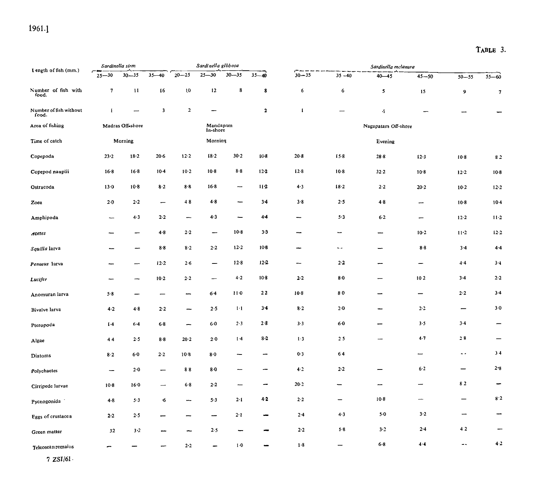| I ength of fish (mm.)           |                 | Sardinella sirm          |                          |                          | Sardinella gibbosa       |                          |                |           |                          | Sardinella mclanura |           |                |           |
|---------------------------------|-----------------|--------------------------|--------------------------|--------------------------|--------------------------|--------------------------|----------------|-----------|--------------------------|---------------------|-----------|----------------|-----------|
|                                 | ~−<br>$25 - 30$ | $30 - 35$                | $35 - 40$                | $20 - 25$                | $25 - 30$                | $30 - 35$                | $35 - 40$      | $30 - 35$ | $35 - 40$                | $40 - 45$           | $45 - 50$ | $50 - 55$      | $55 - 60$ |
| Number of fish with<br>food.    | $\mathbf{7}$    | $\mathbf{11}$            | 16                       | 10                       | 12                       | 8                        | 8              | 6         | 6                        | 5                   | 15        | $\overline{9}$ | $\pmb{7}$ |
| Number of fish without<br>food. | $\mathbf{I}$    | $\overline{\phantom{m}}$ | 3                        | $\overline{2}$           |                          |                          | $\mathbf 2$    | I         | -                        | 4                   |           |                |           |
| Area of fishing                 |                 | Madras Off-shore         |                          |                          | Mandapam<br>In-shore     |                          |                |           |                          | Nagapatam Off-shore |           |                |           |
| Time of catch                   |                 | Morning                  |                          |                          | Morning                  |                          |                |           |                          | Evening             |           |                |           |
| Copepoda                        | 23.2            | $18 - 2$                 | $20-6$                   | $12-2$                   | 18.2                     | 30.2                     | $10-8$         | $20 - 8$  | 15.8                     | $28 - 8$            | $12-3$    | $10-8$         | 82        |
| Copepod nauplii                 | $16-8$          | $16 - 8$                 | $10 - 4$                 | $10-2$                   | $10-8$                   | 8.8                      | 122            | $12 - 8$  | $10-8$                   | 32.2                | $10-8$    | $12 - 2$       | $10-8$    |
| Ostracoda                       | $13-0$          | 10.8                     | $8-2$                    | $8-8$                    | $16-8$                   | $\overline{\phantom{0}}$ | 112            | 4.3       | 18-2                     | 2.2                 | 20.2      | $10 - 2$       | 12.2      |
| Zoea                            | 2.0             | $2 - 2$                  | $\overline{\phantom{0}}$ | 48                       | 4.8                      | -                        | 3 <sub>4</sub> | $3 - 8$   | 2.5                      | $4-8$               | -         | $10-8$         | $10-4$    |
| Amphipoda                       |                 | 4.3                      | $2 - 2$                  | -                        | $4 - 3$                  | $\overline{\phantom{0}}$ | 44             | -         | 5.3                      | 6.2                 | -         | $12 - 2$       | $11 - 2$  |
| Acetes                          |                 |                          | $4 - 8$                  | 2.2                      | $\overline{\phantom{0}}$ | $10-8$                   | 3.3            |           | $\overline{\phantom{0}}$ | —                   | $10-2$    | $11 - 2$       | $12 - 2$  |
| Squilla larva                   |                 | -                        | $8-8$                    | 8.2                      | 2.2                      | 12.2                     | 10-8           | -         | $\sim$ $\sim$            | -                   | $8-8$     | $3 - 4$        | $4 - 4$   |
| Penaeus larva                   |                 | -                        | $12 - 2$                 | 2.6                      | $\overline{\phantom{0}}$ | $12-8$                   | 12.2           | --        | 2.2                      | --                  | -         | $4 - 4$        | $3 - 4$   |
| Lucifer                         | ∽               |                          | $10-2$                   | 2.2                      | -                        | 4.2                      | $10-8$         | $2 - 2$   | $8-0$                    | -                   | 102       | $3-4$          | 2.2       |
| Anomuran larva                  | $5.8$           |                          | -                        | -                        | 6.4                      | $11-0$                   | 22             | $10-8$    | 80                       | -                   | -         | 2.2            | $3-4$     |
| Bivalve larva                   | 4.2             | $4 - 8$                  | 2.2                      | -                        | 2.5                      | $1-1$                    | $3 - 4$        | 8.2       | $2\cdot 0$               |                     | 2.2       | -              | $3-0$     |
| Pteropoda                       | $1-4$           | $6 - 4$                  | $6 - 8$                  | $\overline{\phantom{a}}$ | $6-0$                    | 2.3                      | 2.8            | $3 - 3$   | 6.0                      | -                   | $3-5$     | $3-4$          | -         |
| Algae                           | 44              | 2.5                      | $8.8$                    | 20.2                     | 2.0                      | 1.4                      | $3 - 2$        | $1-3$     | 25                       |                     | 4.7       | 28             |           |
| Diatoms                         | $8-2$           | 6·0                      | 2.2                      | 10.8                     | $8-0$                    | ∽                        | -              | 0.3       | 64                       |                     |           | ۰.             | 34        |
| Polychaetes                     | -               | $2-0$                    | -                        | 88                       | $8-0$                    |                          | --             | 4.2       | 2.2                      |                     | $6-2$     |                | $2 - 8$   |
| Cirripede larvae                | $10-8$          | $16 - 0$                 | -                        | 6.8                      | $2.2\,$                  |                          | -              | 20.2      |                          | --                  |           | 82             |           |
| Pycnogonida                     | $4 - 8$         | $5 - 3$                  | ٠6                       | --                       | $5-3$                    | $2 \cdot 1$              | 4.2            | $2 - 2$   |                          | $10-8$              | -         | -              | 8.2       |
| Eggs of crustace a              | 2.2             | $2 - 5$                  |                          |                          |                          | 2.1                      |                | $2-4$     | 4.3                      | $5 - 0$             | 3.2       | -              |           |
| Green matter                    | 32              | $3 - 2$                  |                          |                          | 2.5                      |                          |                | 2.2       | 5.8                      | 3.2                 | $2 - 4$   | 42             |           |
| Teleosean remains               |                 |                          |                          | 2.2                      |                          | 1.0                      |                | 1.8       |                          | 6.8                 | $4 - 4$   | --             | $4 - 2$   |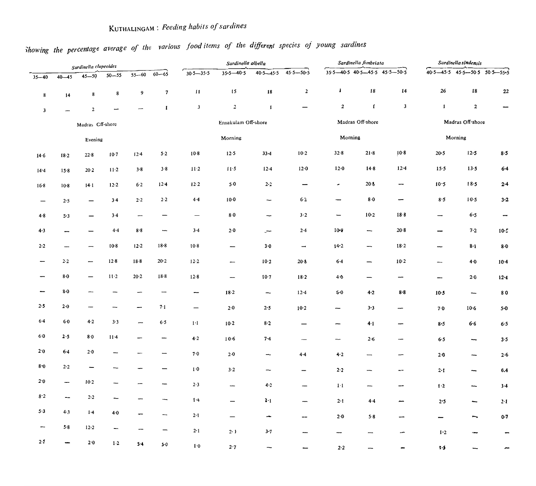# KUTHALINGAM: Feeding habits of sardines

# Showing the percentage average of the various food items of the different species of young sardines

|                          |                          | Sardinella clupeoides    |                          |                          |                          |                          | Sardinella albella              |                          |                          |                                         | Sardinella fimbriata            |                          |                          | Sardinella sindensis                      |                          |
|--------------------------|--------------------------|--------------------------|--------------------------|--------------------------|--------------------------|--------------------------|---------------------------------|--------------------------|--------------------------|-----------------------------------------|---------------------------------|--------------------------|--------------------------|-------------------------------------------|--------------------------|
| $35 - 40$                | $40 - 45$                | $45 - 50$                | $50 - 55$                | $55 - 60$                | $60 - 65$                | $30.5 - 35.5$            | $35 - 5 - 40.5$                 | $40.5 - 45.5$            | $45.5 - 50.5$            | $35.5 - 40.5$ 40.5 $-45.5$ 45.5 $-50.5$ |                                 |                          |                          | $40.5 - 45.5$ $45.5 - 50.5$ $50.5 - 55.5$ |                          |
| $\bf 8$                  | 14                       | $\bf 8$                  | $\pmb{8}$                | $\boldsymbol{9}$         | $\pmb{7}$                | $\boldsymbol{\Pi}$       | 15                              | 18                       | $\overline{\mathbf{2}}$  | $\pmb{\cdot}$                           | ${\bf 18}$                      | 14                       | 26                       | 18                                        | $\bf 22$                 |
| $\mathbf{3}$             |                          | $\overline{2}$           |                          |                          | $\mathbf{I}$             | $\mathbf{3}$             | $\overline{a}$                  | $\mathbf{1}$             |                          | $\overline{2}$                          | $\mathbf{I}$                    | $\mathbf{3}$             | $\pmb{1}$                | $\mathbf 2$                               |                          |
|                          |                          | Madras Cff-shore         |                          |                          |                          |                          | Ernakulam Off-shore             |                          |                          |                                         | Madras Off-shore                |                          |                          | Madras Off-shore                          |                          |
|                          |                          | Evening                  |                          |                          |                          |                          | Morning                         |                          |                          | Morning                                 |                                 |                          |                          | Morning                                   |                          |
| 14.6                     | 18.2                     | 22.8                     | $10-7$                   | $12 - 4$                 | 5.2                      | $10-8$                   | $12-5$                          | $33 - 4$                 | 10.2                     | $32 - 8$                                | $21 - 8$                        | $10-8$                   | 20.5                     | 12.5                                      | $8-5$                    |
| $14 - 4$                 | $15-8$                   | $20.2$                   | $11-2$                   | $3 - 8$                  | 3.8                      | $11-2$                   | $11-5$                          | $12 - 4$                 | $12.0$                   | 12.0                                    | $14-8$                          | $12 - 4$                 | 15.5                     | 13.5                                      | 6.4                      |
| $16 - 8$                 | $10-8$                   | $14-1$                   | $12.2$                   | 6.2                      | $12 - 4$                 | $12 - 2$                 | $5.0$                           | $2 - 2$                  | <u></u>                  | ٠                                       | $20 - 8$                        | -                        | 10.5                     | $18 - 5$                                  | $2 - 4$                  |
| $\qquad \qquad -$        | 2.5                      | $\qquad \qquad -$        | $3-4$                    | 2.2                      | 2.2                      | $4 - 4$                  | $10-0$                          | $\overline{\phantom{0}}$ | 6.2                      |                                         | $8-0$                           | -                        | 8.5                      | $10-5$                                    | $3.2$                    |
| 4.8                      | 5.3                      | $\overline{\phantom{0}}$ | 3.4                      | $\overline{\phantom{m}}$ | —                        | $\qquad \qquad -$        | $\mathbf{8}\!\cdot\!\mathbf{0}$ | $\overline{\phantom{0}}$ | $3\cdot 2$               | $\qquad \qquad$                         | $10-2$                          | 18.8                     | —                        | 6.5                                       | $\overline{\phantom{0}}$ |
| 4.3                      | -                        |                          | $4 - 4$                  | $8.8$                    | -                        | 3.4                      | 2.0                             | سي                       | 2.4                      | $10 - 8$                                | ∽                               | 20.8                     | -                        | 7.2                                       | $10 - 5$                 |
| 2.2                      | $\overline{\phantom{0}}$ | $\overline{\phantom{0}}$ | $10-8$                   | $12 - 2$                 | 18.8                     | $10-8$                   | -                               | $3.0$                    | $\overline{\phantom{a}}$ | 14.2                                    | -                               | 18.2                     | --                       | 8·1                                       | $\bf 8\cdot\bf 0$        |
| $\overline{\phantom{0}}$ | $2\cdot 2$               | $\overline{\phantom{0}}$ | 12.8                     | $18 - 8$                 | 20.2                     | $12.2$                   | -                               | $10-2$                   | $20 - 8$                 | 6.4                                     | —                               | $10-2$                   | $\overline{\phantom{0}}$ | 4.0                                       | $10-4$                   |
|                          | 8.0                      | $\qquad \qquad -$        | $11-2$                   | 20.2                     | $18-8$                   | 12.8                     |                                 | $10-7$                   | $18-2$                   | 4.0                                     | $\overline{\phantom{0}}$        | $\overline{\phantom{a}}$ |                          | 2.0                                       | $12 - 4$                 |
|                          | $8-0$                    | $\overline{\phantom{0}}$ | $\overline{\phantom{0}}$ | $\overline{\phantom{0}}$ | $\overline{\phantom{m}}$ | $\overline{\phantom{m}}$ | 18.2                            | $\overline{\phantom{a}}$ | $12 - 4$                 | $5-0$                                   | 4.2                             | $8.8\,$                  | $10-5$                   | $\overline{\phantom{0}}$                  | 80                       |
| 2.5                      | $2 - 0$                  | -                        |                          | -                        | 7.1                      | $\qquad \qquad \qquad$   | $2\cdot 0$                      | 2.5                      | $10-2$                   | -                                       | 3.3                             | $\overline{\phantom{m}}$ | 7.0                      | $10-6$                                    | $5-0$                    |
| 6.4                      | 6·0                      | 4.2                      | $3 - 3$                  |                          | 6.5                      | $1-1$                    | $10-2$                          | 8.2                      | —                        | -                                       | 4.1                             | $\overline{\phantom{m}}$ | 8.5                      | 6.6                                       | 6.5                      |
| 6·0                      | 2.5                      | $8\!\cdot\!0$            | $11-4$                   |                          | $\overline{\phantom{m}}$ | 4.2                      | $10-6$                          | 7.4                      |                          | --                                      | 2.6                             | $\overline{\phantom{m}}$ | 6.5                      | -                                         | $3.5$                    |
| $2.0$                    | 6.4                      | 2.0                      |                          |                          | —                        | $7.0$                    | $2\cdot 0$                      | $\overline{\phantom{a}}$ | 44                       | $1-2$                                   | $\overbrace{\phantom{1252111}}$ | $\overline{\phantom{0}}$ | $2.0\,$                  | $\overbrace{\phantom{123211}}$            | $2.6$                    |
| 8.0                      | $2\cdot 2$               | <u></u>                  |                          |                          |                          | $1\cdot 0$               | 3·2                             | $\overline{\phantom{0}}$ | —                        | 2.2                                     | <b></b>                         | $\overline{\phantom{m}}$ | $2 - 1$                  | -                                         | 6.4                      |
| 2.0                      | $\overline{\phantom{m}}$ | $10-2$                   |                          |                          |                          | $2.3$                    | $\overbrace{\phantom{1252111}}$ | $4 - 2$                  | -                        | $1\cdot 1$                              | $\overline{\phantom{m}}$        | --                       | $1-2$                    | -                                         | $3-4$                    |
| 8.2                      | --                       | 2.2                      | -                        |                          | ∽                        | 1.4                      | —                               | $2-1$                    | -                        | 2·1                                     | $4-4$                           | ~                        | 2.5                      | ÷                                         | $2 - 1$                  |
| $5.3$                    | 4.3                      | $1-4$                    | $4-0$                    |                          | -                        | $2 \cdot 1$              | —                               | $\overline{\phantom{a}}$ | --                       | 2.0                                     | $5.8$                           | -                        | $\overline{\phantom{0}}$ | -                                         | $0.7$                    |
| $\overline{\phantom{m}}$ | $5.8$                    | 12.2                     | -                        |                          |                          | $2 \cdot 1$              | $2 \cdot 1$                     | $3 - 7$                  |                          |                                         |                                 |                          | $1\cdot 2$               |                                           |                          |
| 2.5                      | <b>.</b>                 | $2\!\cdot\!0$            | $1.2\,$                  | $5 - 4$                  | $5-0$                    | 1.0                      | 2.7                             | $\overline{\phantom{0}}$ |                          | 2.2                                     | -                               |                          | 2.5                      |                                           |                          |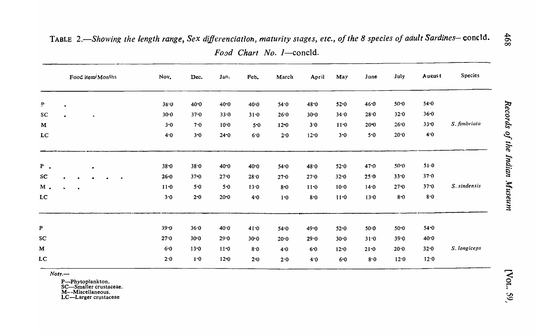|              |           | Food item/Months | Nov.   | Dec.     | Jan.     | Feb. | March    | April | May      | June     | July | August   | Species      |
|--------------|-----------|------------------|--------|----------|----------|------|----------|-------|----------|----------|------|----------|--------------|
| $\mathbf{p}$ | $\bullet$ |                  | 38.0   | 40.0     | 40.0     | 40.0 | 54.0     | 48.0  | $52 - 0$ | 46.0     | 50.0 | 54.0     |              |
| <b>SC</b>    | $\bullet$ |                  | 30.0   | 37.0     | 33.0     | 31.0 | 26.0     | 30.0  | 34.0     | 28.0     | 32.0 | $36 - 0$ |              |
| $\mathbf{M}$ |           |                  | 3.0    | 7.0      | 10.0     | 5.0  | $12 - 0$ | 3.0   | 11:0     | $20 - 0$ | 26.0 | 33.0     | S. fimbriata |
| LC           |           |                  | 4.0    | 3.0      | $24 - 0$ | 6.0  | 2.0      | 12.0  | $3 - 0$  | 5.0      | 20.0 | 4.0      |              |
| $P \cdot$    |           | $\bullet$        | 38.0   | 38.0     | 40.0     | 40.0 | 54.0     | 48.0  | 52.0     | 47:0     | 50.0 | 51.0     |              |
| SC           |           | $\bullet$        | 26.0   | $37 - 0$ | 27.0     | 28.0 | 27.0     | 27.0  | 32.0     | 25.0     | 33.0 | 37.0     |              |
| M.           | $\bullet$ | $\bullet$        | $11-0$ | 5.0      | 5.0      | 13.0 | 8·0      | 11:0  | 10.0     | 14.0     | 27.0 | 37.0     | S. sindensis |
| $_{\rm LC}$  |           |                  | 3.0    | 2.0      | $20 - 0$ | 4.0  | 1.0      | 8.0   | 11.0     | 13.0     | 8.0  | 8.0      |              |
| $\mathbf{P}$ |           |                  | 39.0   | 36.0     | 40.0     | 41.0 | 54.0     | 49.0  | 52.0     | 50.0     | 50.0 | 54.0     |              |
| SC           |           |                  | 27.0   | 30.0     | 29.0     | 30.0 | 20.0     | 29.0  | 30.0     | 31.0     | 39.0 | 40.0     |              |
| $\mathbf M$  |           |                  | 6.0    | 13.0     | 11:0     | 8.0  | 4.0      | 6.0   | 12.0     | 21.0     | 20.0 | 32.0     | S. longiceps |
| LC           |           |                  | 2.0    | 1.0      | $12 - 0$ | 2.0  | 2.0      | 4.0   | 6.0      | 8.0      | 12.0 | 12.0     |              |

TABLE 2.-Showing the length range, Sex differenciation, maturity stages, etc., of the 8 species of adult Sardines-concid. Food Chart No. 1-concld.

 $Note. -$ 

P—Phytoplankton.<br>SC—Smaller crustaceae.<br>M--Miscellaneous.

LC-Larger crustaceae